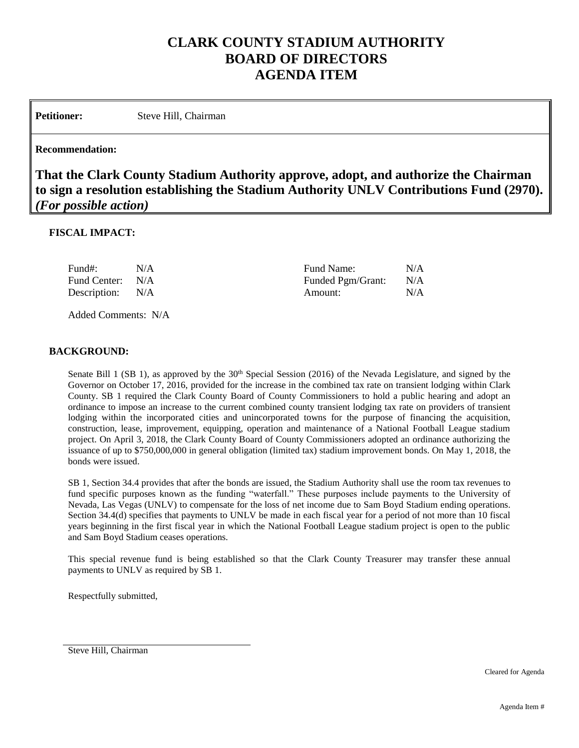# **CLARK COUNTY STADIUM AUTHORITY BOARD OF DIRECTORS AGENDA ITEM**

**Petitioner:** Steve Hill, Chairman

#### **Recommendation:**

**That the Clark County Stadium Authority approve, adopt, and authorize the Chairman to sign a resolution establishing the Stadium Authority UNLV Contributions Fund (2970).**  *(For possible action)*

### **FISCAL IMPACT:**

| Fund#:           | N/A | Fund Name:        | N/A |
|------------------|-----|-------------------|-----|
| Fund Center: N/A |     | Funded Pgm/Grant: | N/A |
| Description: N/A |     | Amount:           | N/A |

Added Comments: N/A

### **BACKGROUND:**

Senate Bill 1 (SB 1), as approved by the 30<sup>th</sup> Special Session (2016) of the Nevada Legislature, and signed by the Governor on October 17, 2016, provided for the increase in the combined tax rate on transient lodging within Clark County. SB 1 required the Clark County Board of County Commissioners to hold a public hearing and adopt an ordinance to impose an increase to the current combined county transient lodging tax rate on providers of transient lodging within the incorporated cities and unincorporated towns for the purpose of financing the acquisition, construction, lease, improvement, equipping, operation and maintenance of a National Football League stadium project. On April 3, 2018, the Clark County Board of County Commissioners adopted an ordinance authorizing the issuance of up to \$750,000,000 in general obligation (limited tax) stadium improvement bonds. On May 1, 2018, the bonds were issued.

SB 1, Section 34.4 provides that after the bonds are issued, the Stadium Authority shall use the room tax revenues to fund specific purposes known as the funding "waterfall." These purposes include payments to the University of Nevada, Las Vegas (UNLV) to compensate for the loss of net income due to Sam Boyd Stadium ending operations. Section 34.4(d) specifies that payments to UNLV be made in each fiscal year for a period of not more than 10 fiscal years beginning in the first fiscal year in which the National Football League stadium project is open to the public and Sam Boyd Stadium ceases operations.

This special revenue fund is being established so that the Clark County Treasurer may transfer these annual payments to UNLV as required by SB 1.

Respectfully submitted,

Steve Hill, Chairman

Cleared for Agenda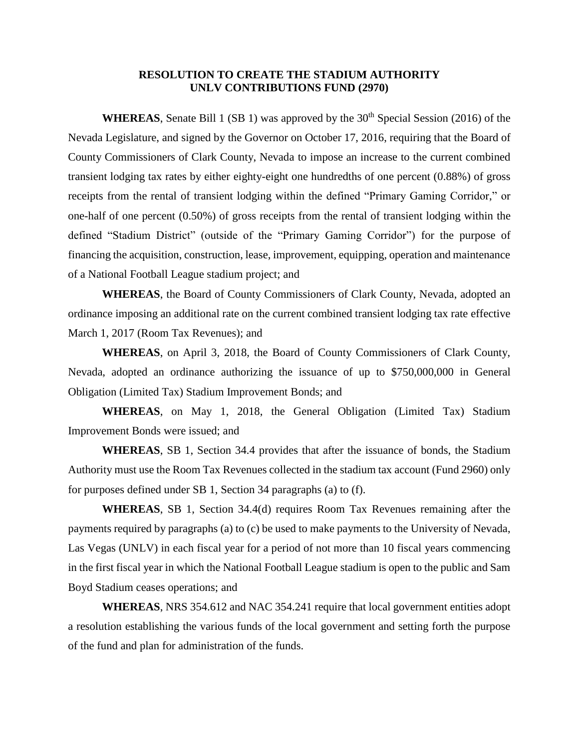## **RESOLUTION TO CREATE THE STADIUM AUTHORITY UNLV CONTRIBUTIONS FUND (2970)**

**WHEREAS**, Senate Bill 1 (SB 1) was approved by the  $30<sup>th</sup>$  Special Session (2016) of the Nevada Legislature, and signed by the Governor on October 17, 2016, requiring that the Board of County Commissioners of Clark County, Nevada to impose an increase to the current combined transient lodging tax rates by either eighty-eight one hundredths of one percent (0.88%) of gross receipts from the rental of transient lodging within the defined "Primary Gaming Corridor," or one-half of one percent (0.50%) of gross receipts from the rental of transient lodging within the defined "Stadium District" (outside of the "Primary Gaming Corridor") for the purpose of financing the acquisition, construction, lease, improvement, equipping, operation and maintenance of a National Football League stadium project; and

**WHEREAS**, the Board of County Commissioners of Clark County, Nevada, adopted an ordinance imposing an additional rate on the current combined transient lodging tax rate effective March 1, 2017 (Room Tax Revenues); and

**WHEREAS**, on April 3, 2018, the Board of County Commissioners of Clark County, Nevada, adopted an ordinance authorizing the issuance of up to \$750,000,000 in General Obligation (Limited Tax) Stadium Improvement Bonds; and

**WHEREAS**, on May 1, 2018, the General Obligation (Limited Tax) Stadium Improvement Bonds were issued; and

**WHEREAS**, SB 1, Section 34.4 provides that after the issuance of bonds, the Stadium Authority must use the Room Tax Revenues collected in the stadium tax account (Fund 2960) only for purposes defined under SB 1, Section 34 paragraphs (a) to (f).

**WHEREAS**, SB 1, Section 34.4(d) requires Room Tax Revenues remaining after the payments required by paragraphs (a) to (c) be used to make payments to the University of Nevada, Las Vegas (UNLV) in each fiscal year for a period of not more than 10 fiscal years commencing in the first fiscal year in which the National Football League stadium is open to the public and Sam Boyd Stadium ceases operations; and

**WHEREAS**, NRS 354.612 and NAC 354.241 require that local government entities adopt a resolution establishing the various funds of the local government and setting forth the purpose of the fund and plan for administration of the funds.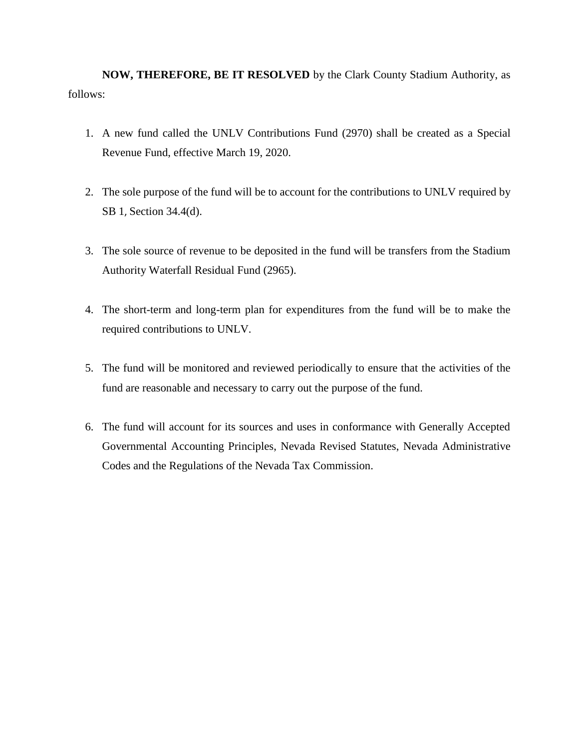**NOW, THEREFORE, BE IT RESOLVED** by the Clark County Stadium Authority, as follows:

- 1. A new fund called the UNLV Contributions Fund (2970) shall be created as a Special Revenue Fund, effective March 19, 2020.
- 2. The sole purpose of the fund will be to account for the contributions to UNLV required by SB 1, Section 34.4(d).
- 3. The sole source of revenue to be deposited in the fund will be transfers from the Stadium Authority Waterfall Residual Fund (2965).
- 4. The short-term and long-term plan for expenditures from the fund will be to make the required contributions to UNLV.
- 5. The fund will be monitored and reviewed periodically to ensure that the activities of the fund are reasonable and necessary to carry out the purpose of the fund.
- 6. The fund will account for its sources and uses in conformance with Generally Accepted Governmental Accounting Principles, Nevada Revised Statutes, Nevada Administrative Codes and the Regulations of the Nevada Tax Commission.